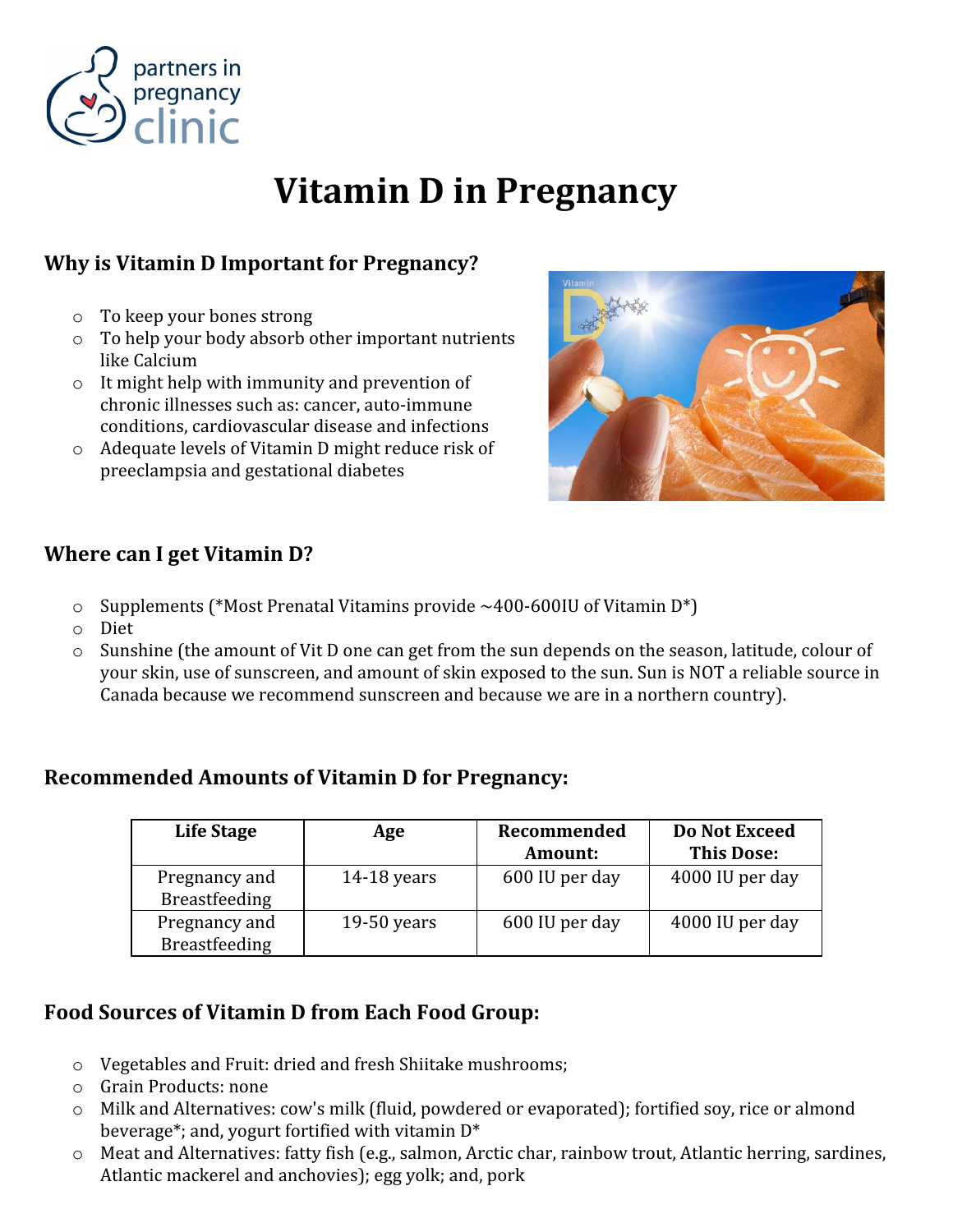

# Vitamin D in Pregnancy

## Why is Vitamin D Important for Pregnancy?

- o To keep your bones strong
- o To help your body absorb other important nutrients like Calcium
- o It might help with immunity and prevention of chronic illnesses such as: cancer, auto-immune conditions, cardiovascular disease and infections
- o Adequate levels of Vitamin D might reduce risk of preeclampsia and gestational diabetes



#### Where can I get Vitamin D?

- $\circ$  Supplements (\*Most Prenatal Vitamins provide ~400-600IU of Vitamin D\*)
- o Diet
- o Sunshine (the amount of Vit D one can get from the sun depends on the season, latitude, colour of your skin, use of sunscreen, and amount of skin exposed to the sun. Sun is NOT a reliable source in Canada because we recommend sunscreen and because we are in a northern country).

### Recommended Amounts of Vitamin D for Pregnancy:

| Life Stage                            | Age         | Recommended<br><b>Amount:</b> | Do Not Exceed<br><b>This Dose:</b> |
|---------------------------------------|-------------|-------------------------------|------------------------------------|
| Pregnancy and<br><b>Breastfeeding</b> | 14-18 years | 600 IU per day                | 4000 IU per day                    |
| Pregnancy and<br><b>Breastfeeding</b> | 19-50 years | 600 IU per day                | 4000 IU per day                    |

### Food Sources of Vitamin D from Each Food Group:

- o Vegetables and Fruit: dried and fresh Shiitake mushrooms;
- o Grain Products: none
- o Milk and Alternatives: cow's milk (fluid, powdered or evaporated); fortified soy, rice or almond beverage\*; and, yogurt fortified with vitamin D\*
- o Meat and Alternatives: fatty fish (e.g., salmon, Arctic char, rainbow trout, Atlantic herring, sardines, Atlantic mackerel and anchovies); egg yolk; and, pork